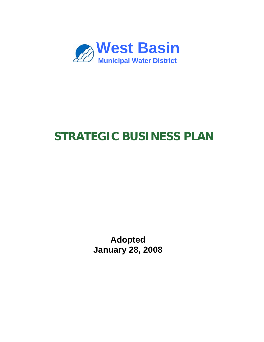

# **STRATEGIC BUSINESS PLAN**

**Adopted January 28, 2008**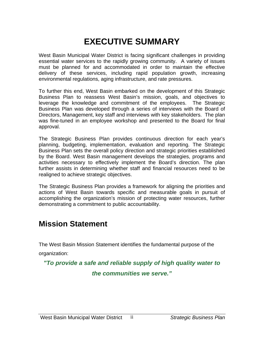# **EXECUTIVE SUMMARY**

West Basin Municipal Water District is facing significant challenges in providing essential water services to the rapidly growing community. A variety of issues must be planned for and accommodated in order to maintain the effective delivery of these services, including rapid population growth, increasing environmental regulations, aging infrastructure, and rate pressures.

To further this end, West Basin embarked on the development of this Strategic Business Plan to reassess West Basin's mission, goals, and objectives to leverage the knowledge and commitment of the employees. The Strategic Business Plan was developed through a series of interviews with the Board of Directors, Management, key staff and interviews with key stakeholders. The plan was fine-tuned in an employee workshop and presented to the Board for final approval.

The Strategic Business Plan provides continuous direction for each year's planning, budgeting, implementation, evaluation and reporting. The Strategic Business Plan sets the overall policy direction and strategic priorities established by the Board. West Basin management develops the strategies, programs and activities necessary to effectively implement the Board's direction. The plan further assists in determining whether staff and financial resources need to be realigned to achieve strategic objectives.

The Strategic Business Plan provides a framework for aligning the priorities and actions of West Basin towards specific and measurable goals in pursuit of accomplishing the organization's mission of protecting water resources, further demonstrating a commitment to public accountability.

# **Mission Statement**

The West Basin Mission Statement identifies the fundamental purpose of the

organization:

*"To provide a safe and reliable supply of high quality water to* 

*the communities we serve."*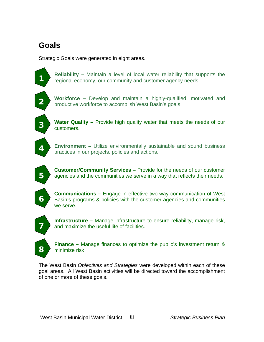# **Goals**

Strategic Goals were generated in eight areas.

**Reliability –** Maintain a level of local water reliability that supports the regional economy, our community and customer agency needs.

 **Workforce –** Develop and maintain a highly-qualified, motivated and productive workforce to accomplish West Basin's goals. **2** 

**Water Quality** – Provide high quality water that meets the needs of our customers.

**Environment –** Utilize environmentally sustainable and sound business practices in our projects, policies and actions. **4** 

**Customer/Community Services –** Provide for the needs of our customer **5** agencies and the communities we serve in a way that reflects their needs.

**6**

**Communications –** Engage in effective two-way communication of West Basin's programs & policies with the customer agencies and communities we serve.

**Infrastructure –** Manage infrastructure to ensure reliability, manage risk,  **7** and maximize the useful life of facilities.

**Finance –** Manage finances to optimize the public's investment return & **8** minimize risk.

The West Basin *Objectives and Strategies* were developed within each of these goal areas. All West Basin activities will be directed toward the accomplishment of one or more of these goals.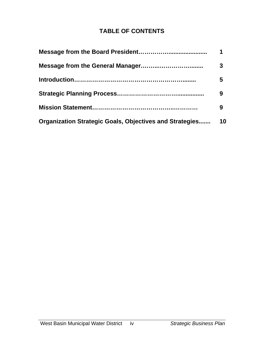# **TABLE OF CONTENTS**

|                                                                | 1  |
|----------------------------------------------------------------|----|
|                                                                | 3  |
|                                                                | 5  |
|                                                                | 9  |
|                                                                | 9  |
| <b>Organization Strategic Goals, Objectives and Strategies</b> | 10 |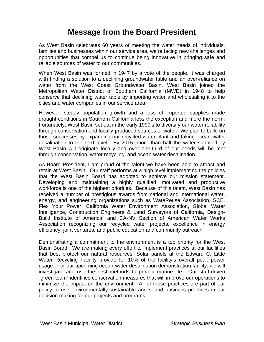# **Message from the Board President**

As West Basin celebrates 60 years of meeting the water needs of individuals, families and businesses within our service area, we're facing new challenges and opportunities that compel us to continue being innovative in bringing safe and reliable sources of water to our communities.

When West Basin was formed in 1947 by a vote of the people, it was charged with finding a solution to a declining groundwater table and an over-reliance on water from the West Coast Groundwater Basin. West Basin joined the Metropolitan Water District of Southern California (MWD) in 1948 to help conserve that declining water table by importing water and wholesaling it to the cities and water companies in our service area.

However, steady population growth and a loss of imported supplies made drought conditions in Southern California less the exception and more the norm. Fortunately, West Basin set out in the early 1990's to diversify our water reliability through conservation and locally-produced sources of water. We plan to build on those successes by expanding our recycled water plant and taking ocean-water desalination to the next level. By 2015, more than half the water supplied by West Basin will originate locally and over one-third of our needs will be met through conservation, water recycling, and ocean-water desalination.

As Board President, I am proud of the talent we have been able to attract and retain at West Basin. Our staff performs at a high level implementing the policies that the West Basin Board has adopted to achieve our mission statement. Developing and maintaining a highly qualified, motivated and productive workforce is one of the highest priorities. Because of this talent, West Basin has received a number of prestigious awards from national and international water, energy, and engineering organizations such as WateReuse Association, SCE, Flex Your Power, California Water Environment Association, Global Water Intelligence, Construction Engineers & Land Surveyors of California, Design-Build Institute of America, and CA-NV Section of American Water Works Association recognizing our recycled water projects, excellence in energy efficiency, joint ventures, and public education and community outreach.

Demonstrating a commitment to the environment is a top priority for the West Basin Board. We are making every effort to implement practices at our facilities that best protect our natural resources. Solar panels at the Edward C. Little Water Recycling Facility provide for 10% of the facility's overall peak power usage. For our upcoming ocean-water desalination demonstration facility, we will investigate and use the best methods to protect marine life. Our staff-driven "green team" identifies conservation measures that will improve our operations to minimize the impact on the environment. All of these practices are part of our policy to use environmentally-sustainable and sound business practices in our decision making for our projects and programs.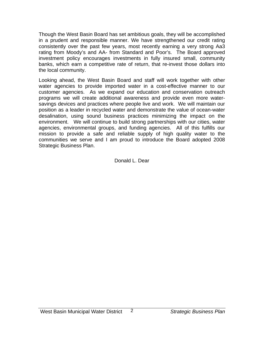Though the West Basin Board has set ambitious goals, they will be accomplished in a prudent and responsible manner. We have strengthened our credit rating consistently over the past few years, most recently earning a very strong Aa3 rating from Moody's and AA- from Standard and Poor's. The Board approved investment policy encourages investments in fully insured small, community banks, which earn a competitive rate of return, that re-invest those dollars into the local community.

Looking ahead, the West Basin Board and staff will work together with other water agencies to provide imported water in a cost-effective manner to our customer agencies. As we expand our education and conservation outreach programs we will create additional awareness and provide even more watersavings devices and practices where people live and work. We will maintain our position as a leader in recycled water and demonstrate the value of ocean-water desalination, using sound business practices minimizing the impact on the environment. We will continue to build strong partnerships with our cities, water agencies, environmental groups, and funding agencies. All of this fulfills our mission to provide a safe and reliable supply of high quality water to the communities we serve and I am proud to introduce the Board adopted 2008 Strategic Business Plan.

Donald L. Dear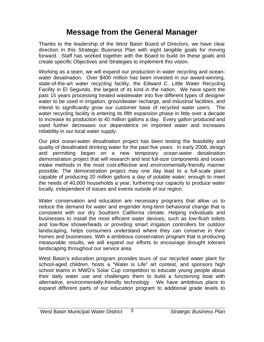# **Message from the General Manager**

Thanks to the leadership of the West Basin Board of Directors, we have clear direction in this Strategic Business Plan with eight tangible goals for moving forward. Staff has worked together with the Board to build on these goals and create specific Objectives and Strategies to implement this vision.

Working as a team, we will expand our production in water recycling and oceanwater desalination. Over \$400 million has been invested in our award-winning, state-of-the-art water recycling facility, the Edward C. Little Water Recycling Facility in El Segundo, the largest of its kind in the nation. We have spent the past 15 years processing treated wastewater into five different types of designer water to be used in irrigation, groundwater recharge, and industrial facilities, and intend to significantly grow our customer base of recycled water users. The water recycling facility is entering its fifth expansion phase in little over a decade to increase its production to 40 million gallons a day. Every gallon produced and used further decreases our dependence on imported water and increases reliability in our local water supply.

Our pilot ocean-water desalination project has been testing the feasibility and quality of desalinated drinking water for the past five years. In early 2008, design and permitting began on a new temporary ocean-water desalination demonstration project that will research and test full-size components and ocean intake methods in the most cost-effective and environmentally-friendly manner possible. The demonstration project may one day lead to a full-scale plant capable of producing 20 million gallons a day of potable water, enough to meet the needs of 40,000 households a year, furthering our capacity to produce water locally, independent of issues and events outside of our region.

Water conservation and education are necessary programs that allow us to reduce the demand for water and engender long-term behavioral change that is consistent with our dry Southern California climate. Helping individuals and businesses to install the most efficient water devices, such as low-flush toilets and low-flow showerheads or providing smart irrigation controllers for outdoor landscaping, helps consumers understand where they can conserve in their homes and businesses. With a ambitious conservation program that is producing measurable results, we will expand our efforts to encourage drought tolerant landscaping throughout our service area.

West Basin's education program provides tours of our recycled water plant for school-aged children, hosts a "Water is Life" art contest, and sponsors high school teams in MWD's Solar Cup competition to educate young people about their daily water use and challenges them to build a functioning boat with alternative, environmentally-friendly technology. We have ambitious plans to expand different parts of our education program to additional grade levels to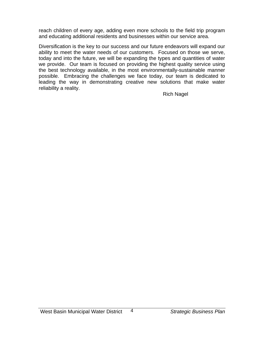reach children of every age, adding even more schools to the field trip program and educating additional residents and businesses within our service area.

Diversification is the key to our success and our future endeavors will expand our ability to meet the water needs of our customers. Focused on those we serve, today and into the future, we will be expanding the types and quantities of water we provide. Our team is focused on providing the highest quality service using the best technology available, in the most environmentally-sustainable manner possible. Embracing the challenges we face today, our team is dedicated to leading the way in demonstrating creative new solutions that make water reliability a reality.

Rich Nagel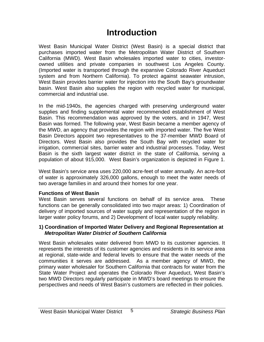# **Introduction**

West Basin Municipal Water District (West Basin) is a special district that purchases imported water from the Metropolitan Water District of Southern California (MWD). West Basin wholesales imported water to cities, investorowned utilities and private companies in southwest Los Angeles County. (Imported water is transported through the expansive Colorado River Aqueduct system and from Northern California). To protect against seawater intrusion, West Basin provides barrier water for injection into the South Bay's groundwater basin. West Basin also supplies the region with recycled water for municipal, commercial and industrial use.

In the mid-1940s, the agencies charged with preserving underground water supplies and finding supplemental water recommended establishment of West Basin. This recommendation was approved by the voters, and in 1947, West Basin was formed. The following year, West Basin became a member agency of the MWD, an agency that provides the region with imported water. The five West Basin Directors appoint two representatives to the 37-member MWD Board of Directors. West Basin also provides the South Bay with recycled water for irrigation, commercial sites, barrier water and industrial processes. Today, West Basin is the sixth largest water district in the state of California, serving a population of about 915,000. West Basin's organization is depicted in Figure 1.

West Basin's service area uses 220,000 acre-feet of water annually. An acre-foot of water is approximately 326,000 gallons, enough to meet the water needs of two average families in and around their homes for one year.

#### **Functions of West Basin**

West Basin serves several functions on behalf of its service area. These functions can be generally consolidated into two major areas: 1) Coordination of delivery of imported sources of water supply and representation of the region in larger water policy forums, and 2) Development of local water supply reliability.

#### **1) Coordination of Imported Water Delivery and Regional Representation at**   *Metropolitan Water District of Southern California*

West Basin wholesales water delivered from MWD to its customer agencies. It represents the interests of its customer agencies and residents in its service area at regional, state-wide and federal levels to ensure that the water needs of the communities it serves are addressed. As a member agency of MWD, the primary water wholesaler for Southern California that contracts for water from the State Water Project and operates the Colorado River Aqueduct, West Basin's two MWD Directors regularly participate in MWD's board meetings to ensure the perspectives and needs of West Basin's customers are reflected in their policies.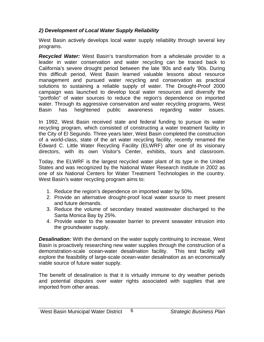### *2) Development of Local Water Supply Reliability*

West Basin actively develops local water supply reliability through several key programs.

*Recycled Water:* West Basin's transformation from a wholesale provider to a leader in water conservation and water recycling can be traced back to California's severe drought period between the late '80s and early '90s. During this difficult period, West Basin learned valuable lessons about resource management and pursued water recycling and conservation as practical solutions to sustaining a reliable supply of water. The Drought-Proof 2000 campaign was launched to develop local water resources and diversify the "portfolio" of water sources to reduce the region's dependence on imported water. Through its aggressive conservation and water recycling programs, West Basin has heightened public awareness regarding water issues.

In 1992, West Basin received state and federal funding to pursue its water recycling program, which consisted of constructing a water treatment facility in the City of El Segundo. Three years later, West Basin completed the construction of a world-class, state of the art water recycling facility, recently renamed the Edward C. Little Water Recycling Facility (ELWRF) after one of its visionary directors, with its own Visitor's Center, exhibits, tours and classroom.

Today, the ELWRF is the largest recycled water plant of its type in the United States and was recognized by the National Water Research Institute in 2002 as one of six National Centers for Water Treatment Technologies in the country. West Basin's water recycling program aims to:

- 1. Reduce the region's dependence on imported water by 50%.
- 2. Provide an alternative drought-proof local water source to meet present and future demands.
- 3. Reduce the volume of secondary treated wastewater discharged to the Santa Monica Bay by 25%.
- 4. Provide water to the seawater barrier to prevent seawater intrusion into the groundwater supply.

*Desalination:* With the demand on the water supply continuing to increase, West Basin is proactively researching new water supplies through the construction of a demonstration-scale ocean-water desalination facility. This test facility will explore the feasibility of large-scale ocean-water desalination as an economically viable source of future water supply.

The benefit of desalination is that it is virtually immune to dry weather periods and potential disputes over water rights associated with supplies that are imported from other areas.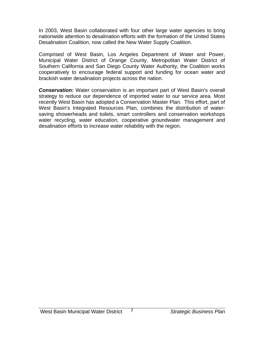In 2003, West Basin collaborated with four other large water agencies to bring nationwide attention to desalination efforts with the formation of the United States Desalination Coalition, now called the New Water Supply Coalition.

Comprised of West Basin, Los Angeles Department of Water and Power, Municipal Water District of Orange County, Metropolitan Water District of Southern California and San Diego County Water Authority, the Coalition works cooperatively to encourage federal support and funding for ocean water and brackish water desalination projects across the nation.

**Conservation:** Water conservation is an important part of West Basin's overall strategy to reduce our dependence of imported water to our service area. Most recently West Basin has adopted a Conservation Master Plan. This effort, part of West Basin's Integrated Resources Plan, combines the distribution of watersaving showerheads and toilets, smart controllers and conservation workshops water recycling, water education, cooperative groundwater management and desalination efforts to increase water reliability with the region.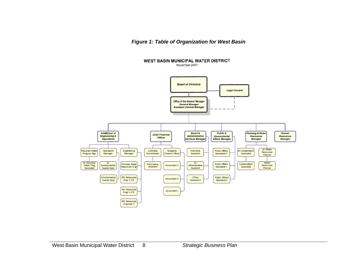*Figure 1: Table of Organization for West Basin* 

**WEST BASIN MUNICIPAL WATER DISTRICT** 

November 2007

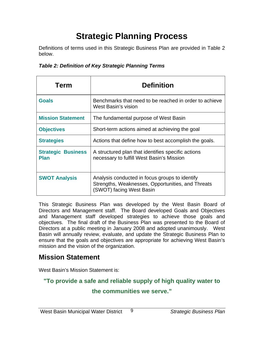# **Strategic Planning Process**

Definitions of terms used in this Strategic Business Plan are provided in Table 2 below.

| Term                                     | <b>Definition</b>                                                                                                               |
|------------------------------------------|---------------------------------------------------------------------------------------------------------------------------------|
| <b>Goals</b>                             | Benchmarks that need to be reached in order to achieve<br>West Basin's vision                                                   |
| <b>Mission Statement</b>                 | The fundamental purpose of West Basin                                                                                           |
| <b>Objectives</b>                        | Short-term actions aimed at achieving the goal                                                                                  |
| <b>Strategies</b>                        | Actions that define how to best accomplish the goals.                                                                           |
| <b>Strategic Business</b><br><b>Plan</b> | A structured plan that identifies specific actions<br>necessary to fulfill West Basin's Mission                                 |
| <b>SWOT Analysis</b>                     | Analysis conducted in focus groups to identify<br>Strengths, Weaknesses, Opportunities, and Threats<br>(SWOT) facing West Basin |

This Strategic Business Plan was developed by the West Basin Board of Directors and Management staff. The Board developed Goals and Objectives and Management staff developed strategies to achieve those goals and objectives. The final draft of the Business Plan was presented to the Board of Directors at a public meeting in January 2008 and adopted unanimously. West Basin will annually review, evaluate, and update the Strategic Business Plan to ensure that the goals and objectives are appropriate for achieving West Basin's mission and the vision of the organization.

# **Mission Statement**

West Basin's Mission Statement is:

# **"To provide a safe and reliable supply of high quality water to**

# **the communities we serve."**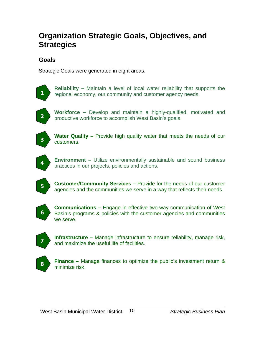# **Organization Strategic Goals, Objectives, and Strategies**

# **Goals**

Strategic Goals were generated in eight areas.



**Reliability –** Maintain a level of local water reliability that supports the **1** regional economy, our community and customer agency needs.



**Workforce –** Develop and maintain a highly-qualified, motivated and notative workforce to accomplish West Basin's goals productive workforce to accomplish West Basin's goals. **2** 



**Water Quality** – Provide high quality water that meets the needs of our customers. **<sup>3</sup>**



**Environment –** Utilize environmentally sustainable and sound business practices in our projects, policies and actions. **<sup>4</sup>**



**Customer/Community Services –** Provide for the needs of our customer agencies and the communities we serve in a way that reflects their needs. **<sup>5</sup>**



**Communications –** Engage in effective two-way communication of West Basin's programs & policies with the customer agencies and communities we serve.



**Infrastructure –** Manage infrastructure to ensure reliability, manage risk, and maximize the useful life of facilities. **<sup>7</sup>**



**Finance –** Manage finances to optimize the public's investment return & 8 minimize risk.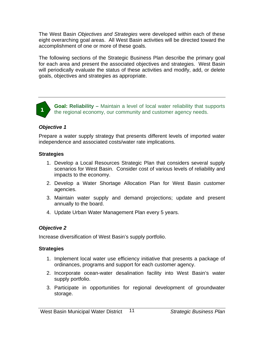The West Basin *Objectives and Strategies* were developed within each of these eight overarching goal areas. All West Basin activities will be directed toward the accomplishment of one or more of these goals.

The following sections of the Strategic Business Plan describe the primary goal for each area and present the associated objectives and strategies. West Basin will periodically evaluate the status of these activities and modify, add, or delete goals, objectives and strategies as appropriate.



**Goal: Reliability –** Maintain a level of local water reliability that supports the regional economy, our community and customer agency needs. **<sup>1</sup>**

#### *Objective 1*

Prepare a water supply strategy that presents different levels of imported water independence and associated costs/water rate implications.

#### **Strategies**

- 1. Develop a Local Resources Strategic Plan that considers several supply scenarios for West Basin. Consider cost of various levels of reliability and impacts to the economy.
- 2. Develop a Water Shortage Allocation Plan for West Basin customer agencies.
- 3. Maintain water supply and demand projections; update and present annually to the board.
- 4. Update Urban Water Management Plan every 5 years.

# *Objective 2*

Increase diversification of West Basin's supply portfolio.

- 1. Implement local water use efficiency initiative that presents a package of ordinances, programs and support for each customer agency.
- 2. Incorporate ocean-water desalination facility into West Basin's water supply portfolio.
- 3. Participate in opportunities for regional development of groundwater storage.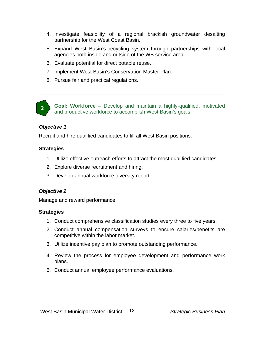- 4. Investigate feasibility of a regional brackish groundwater desalting partnership for the West Coast Basin.
- 5. Expand West Basin's recycling system through partnerships with local agencies both inside and outside of the WB service area.
- 6. Evaluate potential for direct potable reuse.
- 7. Implement West Basin's Conservation Master Plan.
- 8. Pursue fair and practical regulations.



**Goal: Workforce –** Develop and maintain a highly-qualified, motivated and productive workforce to accomplish West Basin's goals.

#### *Objective 1*

Recruit and hire qualified candidates to fill all West Basin positions.

#### **Strategies**

- 1. Utilize effective outreach efforts to attract the most qualified candidates.
- 2. Explore diverse recruitment and hiring.
- 3. Develop annual workforce diversity report.

# *Objective 2*

Manage and reward performance.

- 1. Conduct comprehensive classification studies every three to five years.
- 2. Conduct annual compensation surveys to ensure salaries/benefits are competitive within the labor market.
- 3. Utilize incentive pay plan to promote outstanding performance.
- 4. Review the process for employee development and performance work plans.
- 5. Conduct annual employee performance evaluations.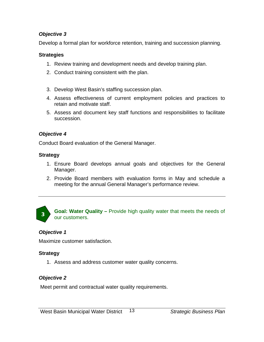Develop a formal plan for workforce retention, training and succession planning.

# **Strategies**

- 1. Review training and development needs and develop training plan.
- 2. Conduct training consistent with the plan.
- 3. Develop West Basin's staffing succession plan.
- 4. Assess effectiveness of current employment policies and practices to retain and motivate staff.
- 5. Assess and document key staff functions and responsibilities to facilitate succession.

# *Objective 4*

Conduct Board evaluation of the General Manager.

# **Strategy**

- 1. Ensure Board develops annual goals and objectives for the General Manager.
- 2. Provide Board members with evaluation forms in May and schedule a meeting for the annual General Manager's performance review.



**Goal: Water Quality –** Provide high quality water that meets the needs of our customers. **<sup>3</sup>**

# *Objective 1*

Maximize customer satisfaction.

# **Strategy**

1. Assess and address customer water quality concerns.

# *Objective 2*

Meet permit and contractual water quality requirements.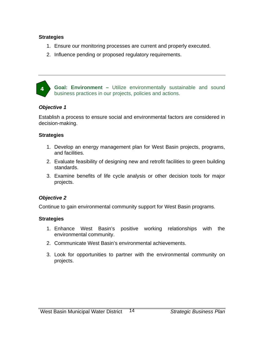#### **Strategies**

- 1. Ensure our monitoring processes are current and properly executed.
- 2. Influence pending or proposed regulatory requirements.



**Goal: Environment –** Utilize environmentally sustainable and sound business practices in our projects, policies and actions.

#### *Objective 1*

Establish a process to ensure social and environmental factors are considered in decision-making.

#### **Strategies**

- 1. Develop an energy management plan for West Basin projects, programs, and facilities.
- 2. Evaluate feasibility of designing new and retrofit facilities to green building standards.
- 3. Examine benefits of life cycle analysis or other decision tools for major projects.

#### *Objective 2*

Continue to gain environmental community support for West Basin programs.

- 1. Enhance West Basin's positive working relationships with the environmental community.
- 2. Communicate West Basin's environmental achievements.
- 3. Look for opportunities to partner with the environmental community on projects.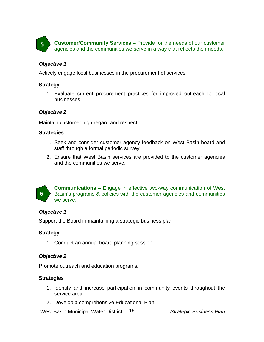**Customer/Community Services –** Provide for the needs of our customer **4 Customer/Community Services** – Provide for the needs of our customer agencies and the communities we serve in a way that reflects their needs.

#### *Objective 1*

Actively engage local businesses in the procurement of services.

#### **Strategy**

1. Evaluate current procurement practices for improved outreach to local businesses.

#### *Objective 2*

Maintain customer high regard and respect.

#### **Strategies**

- 1. Seek and consider customer agency feedback on West Basin board and staff through a formal periodic survey.
- 2. Ensure that West Basin services are provided to the customer agencies and the communities we serve.



**Communications –** Engage in effective two-way communication of West Basin's programs & policies with the customer agencies and communities we serve.

#### *Objective 1*

Support the Board in maintaining a strategic business plan.

#### **Strategy**

1. Conduct an annual board planning session.

#### *Objective 2*

Promote outreach and education programs.

- 1. Identify and increase participation in community events throughout the service area.
- 2. Develop a comprehensive Educational Plan.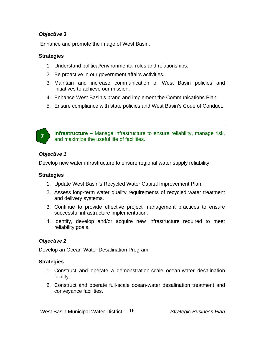Enhance and promote the image of West Basin.

#### **Strategies**

- 1. Understand political/environmental roles and relationships.
- 2. Be proactive in our government affairs activities.
- 3. Maintain and increase communication of West Basin policies and initiatives to achieve our mission.
- 4. Enhance West Basin's brand and implement the Communications Plan.
- 5. Ensure compliance with state policies and West Basin's Code of Conduct.



**Infrastructure –** Manage infrastructure to ensure reliability, manage risk, and maximize the useful life of facilities. **<sup>7</sup>**

#### *Objective 1*

Develop new water infrastructure to ensure regional water supply reliability.

#### **Strategies**

- 1. Update West Basin's Recycled Water Capital Improvement Plan.
- 2. Assess long-term water quality requirements of recycled water treatment and delivery systems.
- 3. Continue to provide effective project management practices to ensure successful infrastructure implementation.
- 4. Identify, develop and/or acquire new infrastructure required to meet reliability goals.

#### *Objective 2*

Develop an Ocean-Water Desalination Program.

- 1. Construct and operate a demonstration-scale ocean-water desalination facility.
- 2. Construct and operate full-scale ocean-water desalination treatment and conveyance facilities.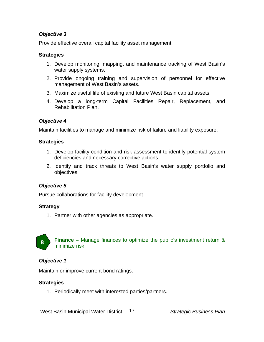Provide effective overall capital facility asset management.

#### **Strategies**

- 1. Develop monitoring, mapping, and maintenance tracking of West Basin's water supply systems.
- 2. Provide ongoing training and supervision of personnel for effective management of West Basin's assets.
- 3. Maximize useful life of existing and future West Basin capital assets.
- 4. Develop a long-term Capital Facilities Repair, Replacement, and Rehabilitation Plan.

# *Objective 4*

Maintain facilities to manage and minimize risk of failure and liability exposure.

# **Strategies**

- 1. Develop facility condition and risk assessment to identify potential system deficiencies and necessary corrective actions.
- 2. Identify and track threats to West Basin's water supply portfolio and objectives.

# *Objective 5*

Pursue collaborations for facility development.

# **Strategy**

1. Partner with other agencies as appropriate.



**Finance –** Manage finances to optimize the public's investment return & 8 minimize risk.

# *Objective 1*

Maintain or improve current bond ratings.

# **Strategies**

1. Periodically meet with interested parties/partners.